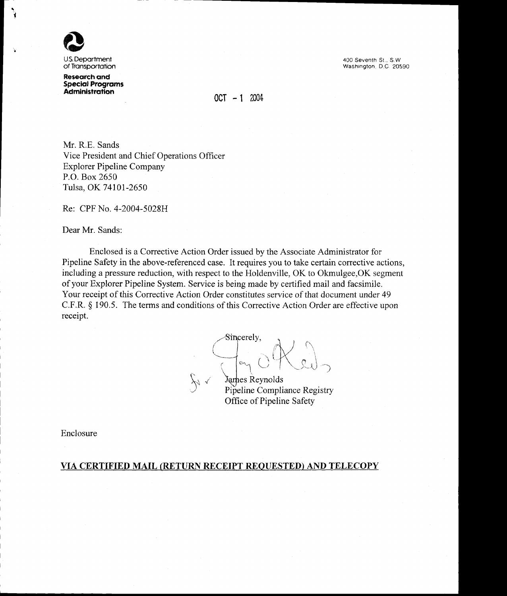

U.S. Department of Transportation

**Research and Special Programs Administration** 

400 Seventh St., S.W. Washington, D.C. 20590

 $0CT - 1 2004$ 

Mr. R.E. Sands Vice President and Chief Operations Officer **Explorer Pipeline Company** P.O. Box 2650 Tulsa, OK 74101-2650

Re: CPF No. 4-2004-5028H

Dear Mr. Sands:

Enclosed is a Corrective Action Order issued by the Associate Administrator for Pipeline Safety in the above-referenced case. It requires you to take certain corrective actions, including a pressure reduction, with respect to the Holdenville, OK to Okmulgee, OK segment of your Explorer Pipeline System. Service is being made by certified mail and facsimile. Your receipt of this Corrective Action Order constitutes service of that document under 49 C.F.R. § 190.5. The terms and conditions of this Corrective Action Order are effective upon receipt.

Sincerely,  $e_{1}$  $\lambda \sim$ 

James Reynolds Pipeline Compliance Registry Office of Pipeline Safety

Enclosure

#### VIA CERTIFIED MAIL (RETURN RECEIPT REQUESTED) AND TELECOPY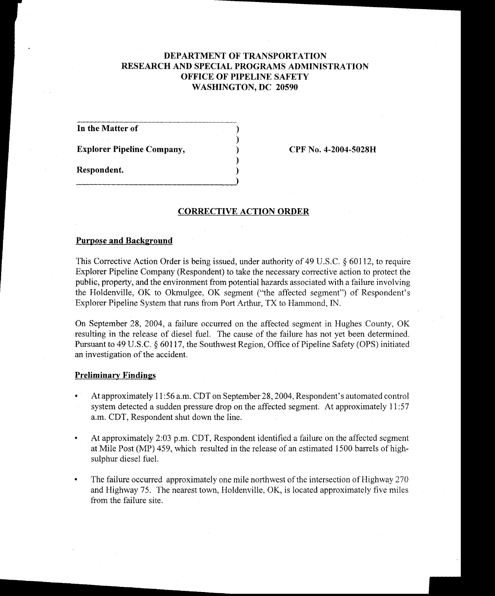# DEPARTMENT OF TRANSPORTATION RESEARCH AND SPECIAL PROGRAMS ADMINISTRATION OFFICE OF PIPELINE SAFETY WASHINGTON, DC 20590

In the Matter of

Explorer Pipeline Company,

CPF No. 4-2004-5028H

Respondent.

## **CORRECTIVE ACTION ORDER**

## Purpose and Background

This Corrective Action Order is being issued, under authority of 49 U.S.C.  $\S$  60112, to require Explorer Pipeline Company (Respondent) to take the necessary corrective action to protect the public, property, and the environment from potential hazards associated with a failure involving the Holdenville, OK to Okmulgee, OK segment ("the affected segment") of Respondent's Explorer Pipeline System that runs from Port Arthur, TX to Hammond, IN.

On September 28,2004, a failure occurred on the affected segment in Hughes County, OK resulting in the release of diesel fuel. The cause of the failure has not yet been determined. Pursuant to 49 U.S.C.  $\S$  60117, the Southwest Region, Office of Pipeline Safety (OPS) initiated an investigation of the accident.

### Preliminary Findings

- At approximately 11:56 a.m. CDT on September 28, 2004, Respondent's automated control system detected a sudden pressure drop on the affected segment. At approximately 11:57 a.m. CDT, Respondent shut down the line.
- At approximately 2:03 p.m. CDT, Respondent identified a failure on the affected segment  $\bullet$ at Mile Post (MP) 459, which resulted in the release of an estimated 1500 barrels of highsulphur diesel fuel.
- The failure occured approximately one mile northwest of the intersection of Highway 270 and Highway 75. The nearest town, Holdenville,  $OK$ , is located approximately five miles from the failure site.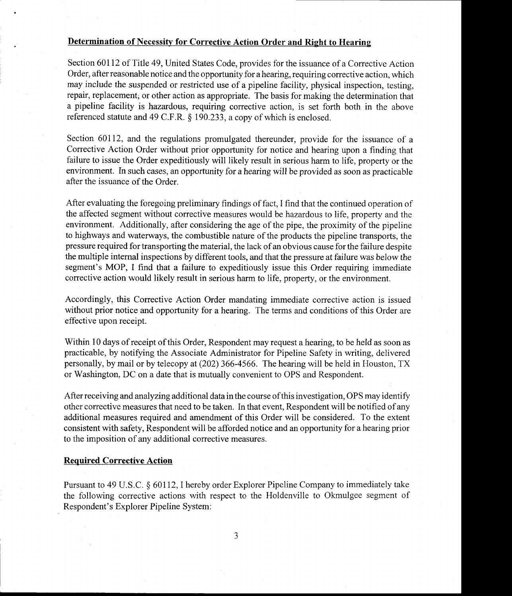## Determination of Necessity for Corrective Action Order and Right to Hearing

Section 60I12 of Title 49, United States Code, provides for the issuance of a Corrective Action Order, after reasonable notice and the opportunity for a hearing, requiring corrective action, which may include the suspended or restricted use of a pipeline facility, physical inspection, testing, repair, replacement; or other action as appropriate. The basis for making the determination that a pipeline facility is hazardous, requiring conective action, is set forth both in the above referenced statute and 49 C.F.R. \$ 190.233, a copy of which is enclosed.

Section 60112, and the regulations promulgated thereunder, provide for the issuance of a Corrective Action Order without prior opportunity for notice and hearing upon a finding that failure to issue the Order expeditiously will likely result in serious harm to life, property or the environment. In such cases, an opportunity for ahearing will be provided as soon as practicable after the issuance of the Order.

After evaluating the foregoing preliminary findings of fact, I find that the continued operation of the affected segment without corrective measures would be hazardous to life, property and the environment. Additionally, after considering the age of the pipe, the proximity of the pipeline to highways and waterways, the combustible nature of the products the pipeline transports, the pressure required for transporting the material, the lack of an obvious cause for the failure despite the multiple internal inspections by different tools, and that the pressure at failure was below the segment's MOP, I find that a failure to expeditiously issue this Order requiring immediate corrective action would likely result in serious harm to life, property, or the environment.

Accordingly, this Corrective Action Order mandating immediate corrective action is issued without prior notice and opportunity for a hearing. The terms and conditions of this Order are effective upon receipt.

Within 10 days of receipt of this Order, Respondent may request a hearing, to be held as soon as practicable, by notifying the Associate Administrator for Pipeline Safety in writing, delivered personally, by mail or by telecopy at (202) 366-4566. The hearing will be held in Houston, TX or Washington, DC on a date that is mutually convenient to OPS and Respondent.

After receiving and analyzing additional data in the course of this investigation, OPS may identify other corrective measures that need to be taken. In that event, Respondent will be notified of any additional measures required and amendment of this Order will be considered. To the extent consistent with safety, Respondent will be afforded notice and an opportunity for a hearing prior to the imposition of any additional corrective measures.

### Required Corrective Action

Pursuant to 49 U.S.C.  $\delta$  60112, I hereby order Explorer Pipeline Company to immediately take the following corrective actions with respect to the Holdenville to Okmulgee segment of Respondent's Explorer Pipeline System: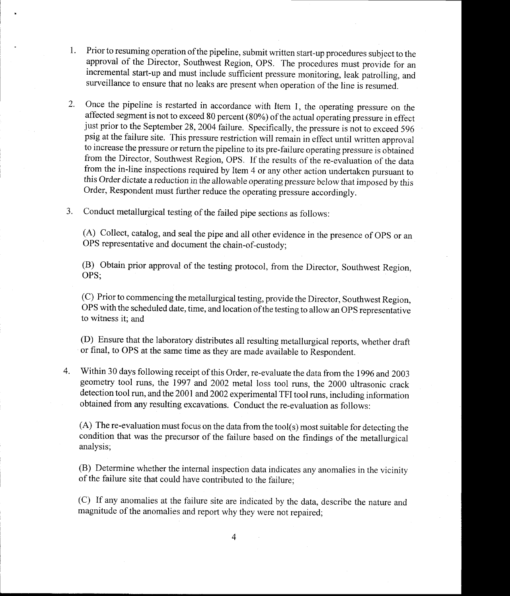- 1. Prior to resuming operation of the pipeline, submit written start-up procedures subject to the approval of the Director, Southwest Region, OPS. The procedures must provide for an incremental start-up and must include sufficient pressure monitoring, leak patrolling, and surveillance to ensure that no leaks are present when operation of the line is resumed.
- 2. Once the pipeline is restarted in accordance with Item 1, the operating pressure on the affected segment is not to exceed 80 percent  $(80\%)$  of the actual operating pressure in effect just prior to the September 28, 2004 failure. Specifically, the pressure is not to exceed 596 psig at the failure site. This pressure restriction will remain in effect until written approval to increase the pressure or return the pipeline to its pre-failure operating pressure is obtained from the Director, Southwest Region, OPS. If the results of the re-evaluation of the data from the in-line inspections required by Item 4 or any other action undertaken pursuant to this Order dictate a reduction in the allowable operating pressure below that imposed by this Order, Respondent must further reduce the operating pressure accordingly.
- Conduct metallurgical testing of the failed pipe sections as follows: 3.

(A) Collect, catalog, and seal the pipe and all other evidence in the presence of OpS or an OPS representative and document the chain-of-custody;

(B) Obtain prior approval of the testing protocol, from the Director, Southwest Region, OPS;

(C) Prior to commencing the metallurgical testing, provide the Director, Southwest Region, OPS with the scheduled date, time, and location ofthe testing to allow an OPS representative to witness it; and

(D) Ensure that the laboratory distributes all resulting metallurgical reports, whether draft or final, to oPS at the same time as they are made available to Respondent.

Within 30 days following receipt of this Order, re-evaluate the data from the 1996 and 2003 geometry tool runs, the 1997 and 2002 metal loss tool runs, the 2000 ultrasonic crack detection tool run, and the 2001 and 2002 experimental TFI tool runs, including information obtained from any resulting excavations. Conduct the re-evaluation as follows:  $\overline{4}$ 

(A) The re-evaluation must focus on the data from the tool(s) most suitable for detecting the condition that was the precursor of the failure based on the findings of the metallurgical analvsis:

(B) Determine whether the internal inspection data indicates any anomalies in the vicinity of the failure site that could have contributed to the failure;

(C) If any anomalies at the failure site are indicated by the data, describe the nature and magnitude of the anomalies and report why they were not repaired;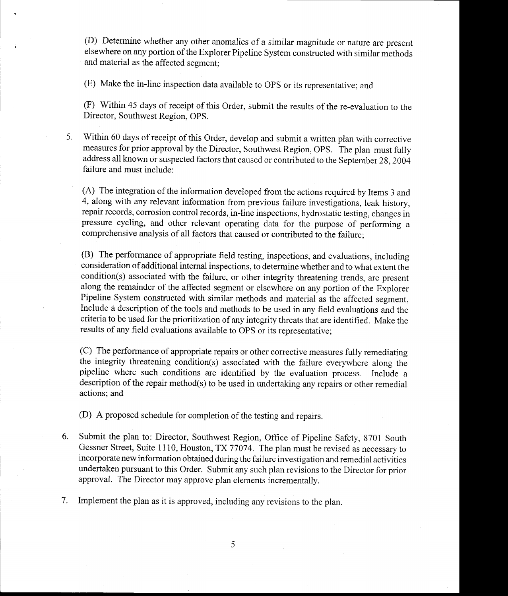(D) Determine whether any other anomalies of a similar magnitude or nature are present elsewhere on any portion of the Explorer Pipeline System constructed with similar methods and material as the affected segment;

(E) Make the in-line inspection data avarlable to OPS or its representative; and

(F) Within 45 days of receipt of this Order, submit the results of the re-evaluation to the Director, Southwest Region, OPS.

5. Within 60 days of receipt of this Order, develop and submit a written plan with corrective measures for prior approval by the Director, Southwest Region, OPS. The plan must fully address all known or suspected factors that caused or contributed to the September 28,2004 failure and must include:

(A) The integration of the information developed from the actions required by Items 3 and 4, along with any relevant information from previous failure investigations, leak history, repair records, corrosion control records, in-line inspections, hydrostatic testing, changes in pressure cycling, and other relevant operating data for the purpose of performing a comprehensive analysis of all factors that caused or contributed to the failure;

(B) The performance of appropriate field testing, inspections, and evaluations, including consideration of additional intemal inspections, to determine whether and to what extent the condition(s) associated with the failure, or other integrity threatening trends, are present along the remainder of the affected segment or elsewhere on any portion of the Explorer Pipeline System constructed with similar methods and material as the affected segment. Include a description of the tools and methods to be used in any field evaluations and the criteria to be used for the prioritization of any integrity threats thatare identified. Make the results of any field evaluations available to oPS or its representative;

(C) The performance of appropriate repairs or other corrective measures fully remediating the integrity threatening condition(s) associated with the failure everywhere along the pipeline where such conditions are identified by the evaluation process. Include a description of the repair method(s) to be used in undertaking any repairs or other remedial actions; and

(D) A proposed schedule for completion of the testing and repairs.

6. Submit the plan to: Director, Southwest Region, Office of Pipeline Safety, 8701 South Gessner Street, Suite 1110, Houston, TX 77074. The plan must be revised as necessary to incorporate new information obtained during the failure investigation and remedial activities undertaken pursuant to this Order. Submit any such plan revisions to the Director for prior approval. The Director may approve plan elements incrementally.

7. Implement the plan as it is approved, including any revisions to the plan.